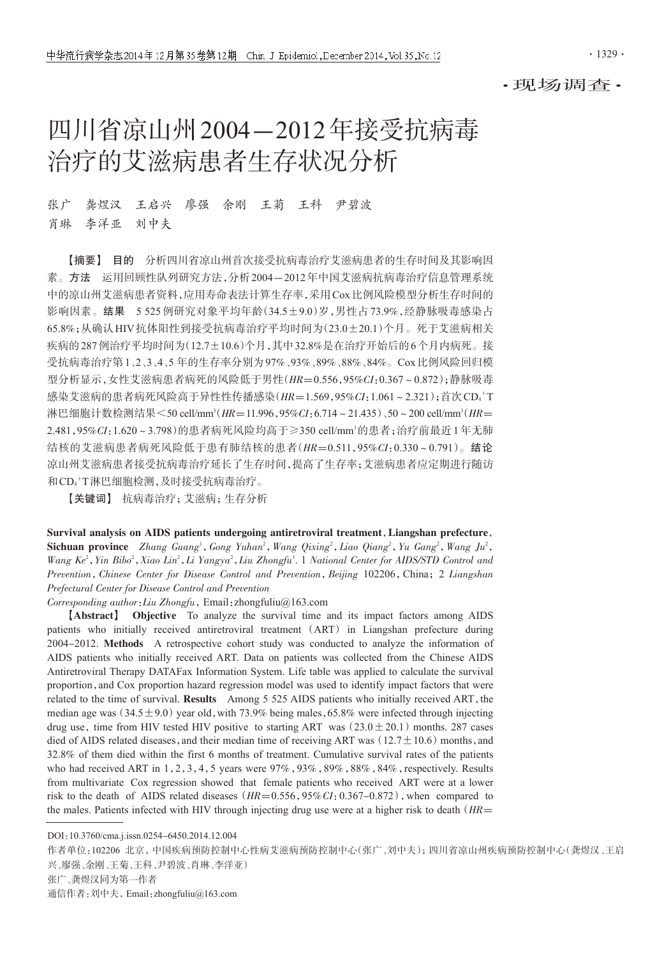·现场调查·

# 四川省凉山州2004-2012年接受抗病毒 治疗的艾滋病患者生存状况分析

张广 龚煜汉 王启兴 廖强 余刚 王菊 王科 尹碧波 肖琳 李洋亚 刘中夫

【摘要】 目的 分析四川省凉山州首次接受抗病毒治疗艾滋病患者的生存时间及其影响因 素。方法 运用回顾性队列研究方法,分析2004-2012年中国艾滋病抗病毒治疗信息管理系统 中的凉山州艾滋病患者资料,应用寿命表法计算生存率,采用Cox比例风险模型分析生存时间的 影响因素。结果 5 525例研究对象平均年龄(34.5±9.0)岁,男性占73.9%,经静脉吸毒感染占 65.8%;从确认HIV抗体阳性到接受抗病毒治疗平均时间为(23.0±20.1)个月。死于艾滋病相关 疾病的287例治疗平均时间为(12.7±10.6)个月,其中32.8%是在治疗开始后的6个月内病死。接 受抗病毒治疗第1、2、3、4、5 年的生存率分别为97%、93%、89%、88%、84%。Cox比例风险回归模 型分析显示,女性艾滋病患者病死的风险低于男性(HR=0.556,95%CI:0.367~0.872);静脉吸毒 感染艾滋病的患者病死风险高于异性性传播感染(*HR*=1.569,95%CI:1.061~2.321);首次CD<sub>4</sub>+T 淋巴细胞计数检测结果<50 cell/mm<sup>3</sup>( $HR=11.996,95\%CI:6.714 \sim 21.435$ )、50~200 cell/mm<sup>3</sup>( $HR=$ 2.481,95%CI:1.620~3.798)的患者病死风险均高于≥350 cell/mm<sup>,</sup>的患者;治疗前最近1年无肺 结核的艾滋病患者病死风险低于患有肺结核的患者(HR=0.511,95%CI:0.330~0.791)。结论 凉山州艾滋病患者接受抗病毒治疗延长了生存时间,提高了生存率;艾滋病患者应定期进行随访 和CD4 <sup>+</sup>T淋巴细胞检测,及时接受抗病毒治疗。

【关键词】 抗病毒治疗;艾滋病;生存分析

Survival analysis on AIDS patients undergoing antiretroviral treatment,Liangshan prefecture, Sichuan province Zhang Guang<sup>1</sup>, Gong Yuhan<sup>2</sup>, Wang Qixing<sup>2</sup>, Liao Qiang<sup>2</sup>, Yu Gang<sup>2</sup>, Wang Ju<sup>2</sup>, Wang Ke<sup>2</sup>, Yin Bibo<sup>2</sup>, Xiao Lin<sup>2</sup>, Li Yangya<sup>2</sup>, Liu Zhongfu<sup>1</sup>. 1 National Center for AIDS/STD Control and Prevention, Chinese Center for Disease Control and Prevention, Beijing 102206, China; 2 Liangshan Prefectural Center for Disease Control and Prevention

 $Corresponding\ author: Liu\ Zhangau\ function$ , Email: zhongfuliu@163.com

【Abstract】 Objective To analyze the survival time and its impact factors among AIDS patients who initially received antiretroviral treatment (ART) in Liangshan prefecture during 2004-2012. Methods A retrospective cohort study was conducted to analyze the information of AIDS patients who initially received ART. Data on patients was collected from the Chinese AIDS Antiretroviral Therapy DATAFax Information System. Life table was applied to calculate the survival proportion,and Cox proportion hazard regression model was used to identify impact factors that were related to the time of survival. Results Among 5 525 AIDS patients who initially received ART, the median age was  $(34.5 \pm 9.0)$  year old, with 73.9% being males, 65.8% were infected through injecting drug use, time from HIV tested HIV positive to starting ART was  $(23.0 \pm 20.1)$  months. 287 cases died of AIDS related diseases, and their median time of receiving ART was  $(12.7 \pm 10.6)$  months, and 32.8% of them died within the first 6 months of treatment. Cumulative survival rates of the patients who had received ART in 1,2,3,4,5 years were  $97\%$ ,  $93\%$ ,  $89\%$ ,  $88\%$ ,  $84\%$ , respectively. Results from multivariate Cox regression showed that female patients who received ART were at a lower risk to the death of AIDS related diseases ( $HR=0.556,95\% CI:0.367-0.872$ ), when compared to the males. Patients infected with HIV through injecting drug use were at a higher risk to death ( $HR=$ 

DOI:10.3760/cma.j.issn.0254-6450.2014.12.004

作者单位:102206 北京,中国疾病预防控制中心性病艾滋病预防控制中心(张广、刘中夫);四川省凉山州疾病预防控制中心(龚煜汉、王启 兴、廖强、余刚、王菊、王科、尹碧波、肖琳、李洋亚) 张广、龚煜汉同为第一作者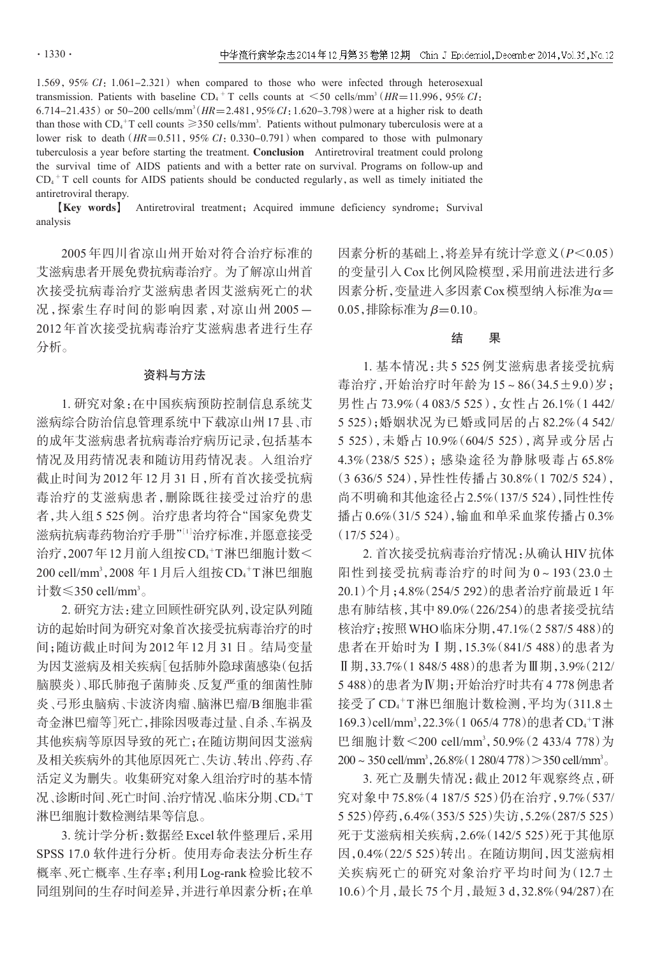1.569,95% CI:1.061-2.321) when compared to those who were infected through heterosexual transmission. Patients with baseline  $CD_4$ <sup>+</sup> T cells counts at  $\leq$  50 cells/mm<sup>3</sup> (HR=11.996, 95% CI: 6.714-21.435) or 50-200 cells/mm<sup>3</sup> ( $HR = 2.481,95\% CI:1.620-3.798$ ) were at a higher risk to death than those with  $CD_4^+T$  cell counts  $\geq 350$  cells/mm<sup>3</sup>. Patients without pulmonary tuberculosis were at a lower risk to death  $(HR=0.511, 95\% CI: 0.330-0.791)$  when compared to those with pulmonary tuberculosis a year before starting the treatment. Conclusion Antiretroviral treatment could prolong the survival time of AIDS patients and with a better rate on survival. Programs on follow-up and  $CD_4$ <sup>+</sup> T cell counts for AIDS patients should be conducted regularly, as well as timely initiated the antiretroviral therapy.

**[Key words]** Antiretroviral treatment; Acquired immune deficiency syndrome; Survival analysis

2005 年四川省凉山州开始对符合治疗标准的 艾滋病患者开展免费抗病毒治疗。为了解凉山州首 次接受抗病毒治疗艾滋病患者因艾滋病死亡的状 况,探索生存时间的影响因素,对凉山州 2005-2012 年首次接受抗病毒治疗艾滋病患者进行生存 分析。

### 资料与方法

1. 研究对象:在中国疾病预防控制信息系统艾 滋病综合防治信息管理系统中下载凉山州17县、市 的成年艾滋病患者抗病毒治疗病历记录,包括基本 情况及用药情况表和随访用药情况表。入组治疗 截止时间为 2012 年 12 月 31 日,所有首次接受抗病 毒治疗的艾滋病患者,删除既往接受过治疗的患 者,共入组5 525例。治疗患者均符合"国家免费艾 滋病抗病毒药物治疗手册"[<sup>1</sup>] 治疗标准,并愿意接受 治疗,2007年12月前入组按CD4+T淋巴细胞计数< 200 cell/mm3,2008 年 1 月后入组按 CD4+T 淋巴细胞 计数≤350 cell/mm<sup>3</sup>。

2. 研究方法:建立回顾性研究队列,设定队列随 访的起始时间为研究对象首次接受抗病毒治疗的时 间;随访截止时间为 2012 年 12 月 31 日。结局变量 为因艾滋病及相关疾病[包括肺外隐球菌感染(包括 脑膜炎)、耶氏肺孢子菌肺炎、反复严重的细菌性肺 炎、弓形虫脑病、卡波济肉瘤、脑淋巴瘤/B细胞非霍 奇金淋巴瘤等]死亡,排除因吸毒过量、自杀、车祸及 其他疾病等原因导致的死亡;在随访期间因艾滋病 及相关疾病外的其他原因死亡、失访、转出、停药、存 活定义为删失。收集研究对象入组治疗时的基本情 况、诊断时间、死亡时间、治疗情况、临床分期、CD4<sup>+</sup>T 淋巴细胞计数检测结果等信息。

3. 统计学分析:数据经Excel软件整理后,采用 SPSS 17.0 软件进行分析。使用寿命表法分析生存 概率、死亡概率、生存率;利用Log-rank检验比较不 同组别间的生存时间差异,并进行单因素分析;在单 因素分析的基础上,将差异有统计学意义(P<0.05) 的变量引入Cox比例风险模型,采用前进法进行多 因素分析,变量进入多因素Cox模型纳入标准为α= 0.05,排除标准为  $β=0.10$ 。

## 结 果

1. 基本情况:共 5 525 例艾滋病患者接受抗病 毒治疗,开始治疗时年龄为 15~86(34.5±9.0)岁; 男性占 73.9%(4 083/5 525),女性占 26.1%(1 442/ 5 525);婚姻状况为已婚或同居的占 82.2%(4 542/ 5 525),未婚占 10.9%(604/5 525),离异或分居占 4.3%(238/5 525);感染途径为静脉吸毒占 65.8% (3 636/5 524),异性性传播占 30.8%(1 702/5 524), 尚不明确和其他途径占2.5%(137/5 524),同性性传 播占0.6%(31/5 524),输血和单采血浆传播占0.3%  $(17/5, 524)$ 

2. 首次接受抗病毒治疗情况:从确认HIV抗体 阳性到接受抗病毒治疗的时间为 0~193(23.0± 20.1)个月;4.8%(254/5 292)的患者治疗前最近1年 患有肺结核,其中89.0%(226/254)的患者接受抗结 核治疗;按照WHO临床分期,47.1%(2 587/5 488)的 患者在开始时为Ⅰ期,15.3%(841/5 488)的患者为 Ⅱ期,33.7%(1 848/5 488)的患者为Ⅲ期,3.9%(212/ 5 488)的患者为Ⅳ期;开始治疗时共有4 778例患者 接受了 CD<sub>4</sub>+T淋巴细胞计数检测,平均为(311.8± 169.3)cell/mm<sup>3</sup>,22.3%(1 065/4 778)的患者CD<sub>4</sub>+T淋 巴细胞计数<200 cell/mm<sup>3</sup>, 50.9% (2 433/4 778)为  $200 \sim 350$  cell/mm<sup>3</sup>,  $26.8\%$  (1 280/4 778)  $>$  350 cell/mm<sup>3</sup>

3. 死亡及删失情况:截止 2012 年观察终点,研 究对象中 75.8%(4 187/5 525)仍在治疗,9.7%(537/ 5 525)停药,6.4%(353/5 525)失访,5.2%(287/5 525) 死于艾滋病相关疾病,2.6%(142/5 525)死于其他原 因,0.4%(22/5 525)转出。在随访期间,因艾滋病相 关疾病死亡的研究对象治疗平均时间为(12.7± 10.6)个月,最长75个月,最短3 d,32.8%(94/287)在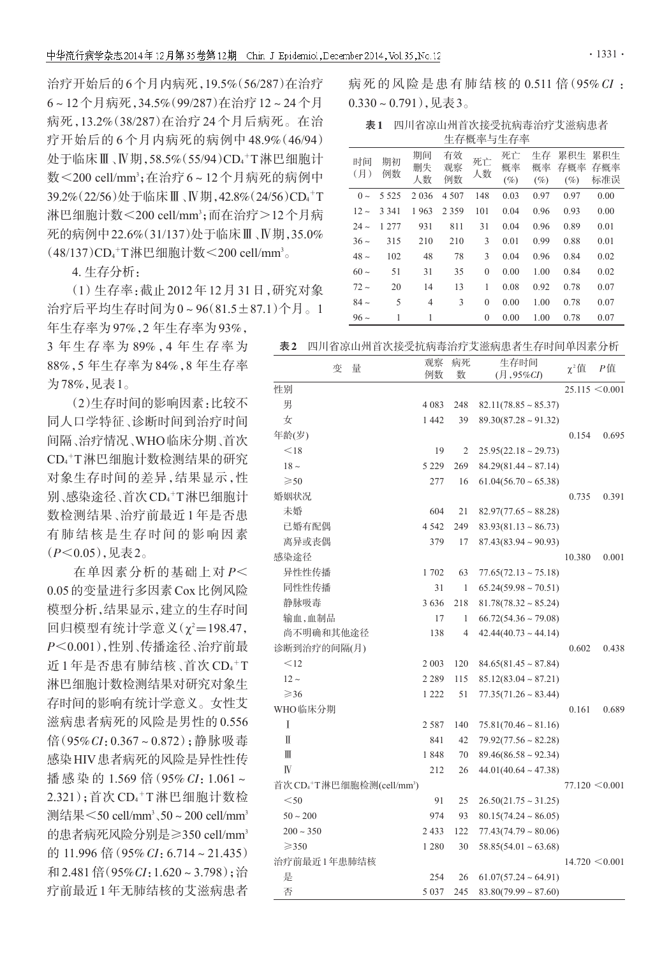治疗开始后的6个月内病死,19.5%(56/287)在治疗 6~12个月病死,34.5%(99/287)在治疗12~24个月 病死,13.2%(38/287)在治疗 24 个月后病死。在治 疗开始后的 6 个月内病死的病例中 48.9%(46/94) 处于临床Ⅲ﹑Ⅳ期,58.5%(55/94)CD4<sup>+</sup>T淋巴细胞计 数<200 cell/mm3;在治疗6~ 12 个月病死的病例中 39.2%(22/56)处于临床Ⅲ﹑Ⅳ期,42.8%(24/56)CD4<sup>+</sup>T 淋巴细胞计数<200 cell/mm<sup>3</sup>;而在治疗>12个月病 死的病例中22.6%(31/137)处于临床Ⅲ、Ⅳ期,35.0%  $(48/137)CD_4$ <sup>+</sup>T淋巴细胞计数<200 cell/mm<sup>3</sup>。

4. 生存分析:

(1)生存率:截止2012年12月31日,研究对象 治疗后平均生存时间为0~96(81.5±87.1)个月。1

年生存率为97%,2 年生存率为93%, 3 年生存率为 89%,4 年生存率为 88%,5 年生存率为 84%,8 年生存率 为78%,见表1。

(2)生存时间的影响因素:比较不 同人口学特征、诊断时间到治疗时间 间隔、治疗情况、WHO临床分期、首次 CD4 <sup>+</sup>T淋巴细胞计数检测结果的研究 对象生存时间的差异,结果显示,性 别﹑感染途径﹑首次CD4<sup>+</sup>T淋巴细胞计 数检测结果、治疗前最近 1 年是否患 有肺结核是生存时间的影响因素 (P<0.05),见表2。

在单因素分析的基础上对 P< 0.05的变量进行多因素Cox比例风险 模型分析,结果显示,建立的生存时间 回归模型有统计学意义(χ2=198.47, P<0.001),性别、传播途径、治疗前最 近1年是否患有肺结核、首次 CD4<sup>+</sup>T 淋巴细胞计数检测结果对研究对象生 存时间的影响有统计学意义。女性艾 滋病患者病死的风险是男性的 0.556 倍(95%CI:0.367~0.872);静脉吸毒 感染HIV患者病死的风险是异性性传 播 感 染 的 1.569 倍 (95% CI: 1.061~ 2.321);首次 CD4+T淋巴细胞计数检 测结果 $<$ 50 cell/mm $^3$ 、50 ~ 200 cell/mm $^3$ 的患者病死风险分别是≥350 cell/mm3 的 11.996 倍(95% CI:6.714~21.435) 和 2.481 倍 (95%CI: 1.620~3.798); 治 疗前最近1年无肺结核的艾滋病患者

病死的风险是患有肺结核的 0.511 倍(95% CI :  $0.330 \sim 0.791$ ),见表3。

表1 四川省凉山州首次接受抗病毒治疗艾滋病患者 生存概率与生存率

| 时间<br>(月) | 期初<br>例数 | 期间<br>删失<br>人数 | 有效<br>观察<br>例数 | 死亡<br>人数     | 死亡<br>概率<br>$(\%)$ | 生存<br>概率<br>$(\%)$ | 累积生<br>存概率<br>$(\%)$ | 累积生<br>存概率<br>标准误 |
|-----------|----------|----------------|----------------|--------------|--------------------|--------------------|----------------------|-------------------|
| $0 \sim$  | 5 5 2 5  | 2036           | 4 5 0 7        | 148          | 0.03               | 0.97               | 0.97                 | 0.00              |
| $12 -$    | 3 3 4 1  | 1963           | 2 3 5 9        | 101          | 0.04               | 0.96               | 0.93                 | 0.00              |
| $24 -$    | 1 277    | 931            | 811            | 31           | 0.04               | 0.96               | 0.89                 | 0.01              |
| $36\sim$  | 315      | 210            | 210            | 3            | 0.01               | 0.99               | 0.88                 | 0.01              |
| $48 \sim$ | 102      | 48             | 78             | 3            | 0.04               | 0.96               | 0.84                 | 0.02              |
| $60 \sim$ | 51       | 31             | 35             | $\mathbf{0}$ | 0.00               | 1.00               | 0.84                 | 0.02              |
| $72 -$    | 20       | 14             | 13             | 1            | 0.08               | 0.92               | 0.78                 | 0.07              |
| $84 -$    | 5        | $\overline{4}$ | 3              | $\mathbf{0}$ | 0.00               | 1.00               | 0.78                 | 0.07              |
| $96\sim$  | 1        | 1              |                | $\theta$     | 0.00               | 1.00               | 0.78                 | 0.07              |

表2 四川省凉山州首次接受抗病毒治疗艾滋病患者生存时间单因素分析

| 变<br>量                                            | 观察<br>例数 | 病死<br>数 | 生存时间<br>$($ 月, 95% $CI$      | $\chi^2$ 值 | Р值                 |
|---------------------------------------------------|----------|---------|------------------------------|------------|--------------------|
| 性别                                                |          |         |                              |            | $25.115 \le 0.001$ |
| 男                                                 | 4 0 8 3  | 248     | $82.11(78.85 \sim 85.37)$    |            |                    |
| 女                                                 | 1 4 4 2  | 39      | $89.30(87.28 \sim 91.32)$    |            |                    |
| 年龄(岁)                                             |          |         |                              | 0.154      | 0.695              |
| $<$ 18                                            | 19       | 2       | $25.95(22.18 \sim 29.73)$    |            |                    |
| $18 \sim$                                         | 5 2 2 9  | 269     | $84.29(81.44 \sim 87.14)$    |            |                    |
| $\geqslant$ 50                                    | 277      | 16      | $61.04(56.70 \sim 65.38)$    |            |                    |
| 婚姻状况                                              |          |         |                              | 0.735      | 0.391              |
| 未婚                                                | 604      | 21      | $82.97(77.65 \sim 88.28)$    |            |                    |
| 已婚有配偶                                             | 4 5 4 2  | 249     | $83.93(81.13 \sim 86.73)$    |            |                    |
| 离异或丧偶                                             | 379      | 17      | $87.43(83.94 \sim 90.93)$    |            |                    |
| 感染途径                                              |          |         |                              | 10.380     | 0.001              |
| 异性性传播                                             | 1702     | 63      | $77.65(72.13 \sim 75.18)$    |            |                    |
| 同性性传播                                             | 31       | 1       | $65.24(59.98 \sim 70.51)$    |            |                    |
| 静脉吸毒                                              | 3636     | 218     | $81.78(78.32 \sim 85.24)$    |            |                    |
| 输血,血制品                                            | 17       | 1       | $66.72(54.36 \sim 79.08)$    |            |                    |
| 尚不明确和其他途径                                         | 138      | 4       | $42.44(40.73 \sim 44.14)$    |            |                    |
| 诊断到治疗的间隔(月)                                       |          |         |                              | 0.602      | 0.438              |
| $<$ 12                                            | 2 0 0 3  | 120     | $84.65(81.45 \sim 87.84)$    |            |                    |
| $12 -$                                            | 2 2 8 9  | 115     | $85.12(83.04 \sim 87.21)$    |            |                    |
| $\geqslant$ 36                                    | 1 2 2 2  | 51      | $77.35(71.26 \sim 83.44)$    |            |                    |
| WHO临床分期                                           |          |         |                              | 0.161      | 0.689              |
| I                                                 | 2 5 8 7  | 140     | $75.81(70.46 \sim 81.16)$    |            |                    |
| Π                                                 | 841      | 42      | $79.92(77.56 \sim 82.28)$    |            |                    |
| $\mathbb{I}\mathbb{I}$                            | 1848     | 70      | $89.46(86.58 \sim 92.34)$    |            |                    |
| $\mathbb{N}$                                      | 212      | 26      | $44.01(40.64 \sim 47.38)$    |            |                    |
| 首次CD <sub>4</sub> +T淋巴细胞检测(cell/mm <sup>3</sup> ) |          |         |                              |            | $77.120 \le 0.001$ |
| < 50                                              | 91       | 25      | $26.50(21.75 \sim 31.25)$    |            |                    |
| $50 - 200$                                        | 974      | 93      | $80.15(74.24 \sim 86.05)$    |            |                    |
| $200 - 350$                                       | 2 4 3 3  | 122     | $77.43(74.79 \approx 80.06)$ |            |                    |
| $\geq$ 350                                        | 1 2 8 0  | 30      | $58.85(54.01 \sim 63.68)$    |            |                    |
| 治疗前最近1年患肺结核                                       |          |         |                              |            | $14.720 \le 0.001$ |
| 是                                                 | 254      | 26      | $61.07(57.24 \sim 64.91)$    |            |                    |
| 否                                                 | 5 0 3 7  | 245     | $83.80(79.99 \approx 87.60)$ |            |                    |